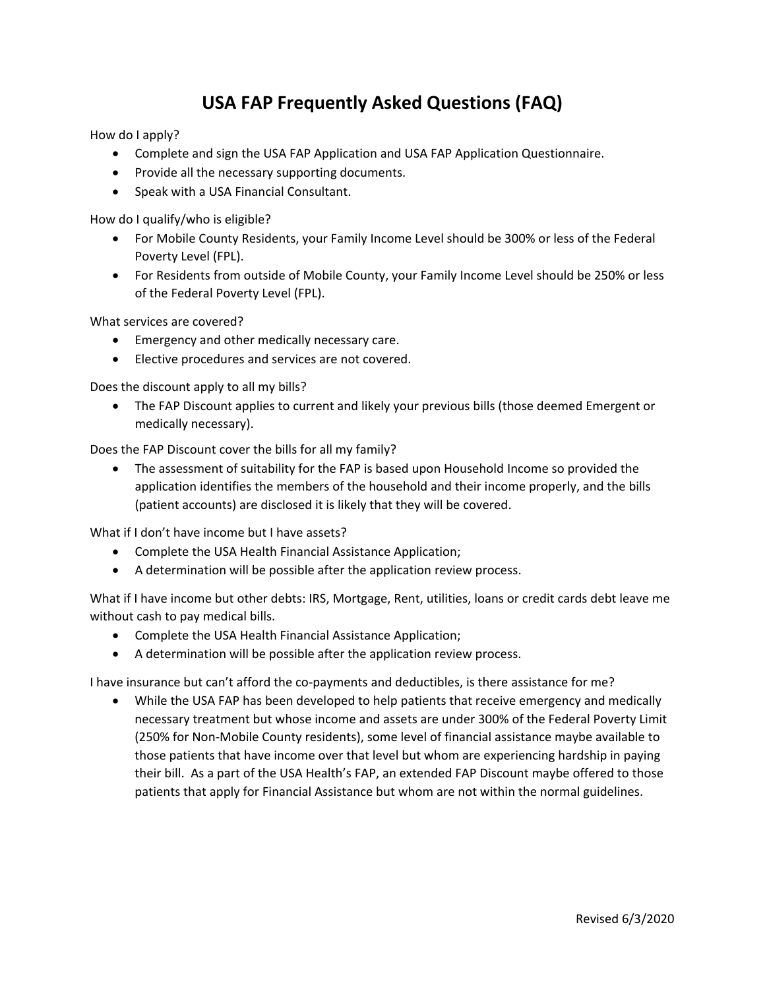## **USA FAP Frequently Asked Questions (FAQ)**

How do I apply?

- Complete and sign the USA FAP Application and USA FAP Application Questionnaire.
- Provide all the necessary supporting documents.
- Speak with a USA Financial Consultant.

How do I qualify/who is eligible?

- For Mobile County Residents, your Family Income Level should be 300% or less of the Federal Poverty Level (FPL).
- For Residents from outside of Mobile County, your Family Income Level should be 250% or less of the Federal Poverty Level (FPL).

What services are covered?

- Emergency and other medically necessary care.
- Elective procedures and services are not covered.

Does the discount apply to all my bills?

• The FAP Discount applies to current and likely your previous bills (those deemed Emergent or medically necessary).

Does the FAP Discount cover the bills for all my family?

• The assessment of suitability for the FAP is based upon Household Income so provided the application identifies the members of the household and their income properly, and the bills (patient accounts) are disclosed it is likely that they will be covered.

What if I don't have income but I have assets?

- Complete the USA Health Financial Assistance Application;
- A determination will be possible after the application review process.

What if I have income but other debts: IRS, Mortgage, Rent, utilities, loans or credit cards debt leave me without cash to pay medical bills.

- Complete the USA Health Financial Assistance Application;
- A determination will be possible after the application review process.

I have insurance but can't afford the co-payments and deductibles, is there assistance for me?

• While the USA FAP has been developed to help patients that receive emergency and medically necessary treatment but whose income and assets are under 300% of the Federal Poverty Limit (250% for Non-Mobile County residents), some level of financial assistance maybe available to those patients that have income over that level but whom are experiencing hardship in paying their bill. As a part of the USA Health's FAP, an extended FAP Discount maybe offered to those patients that apply for Financial Assistance but whom are not within the normal guidelines.